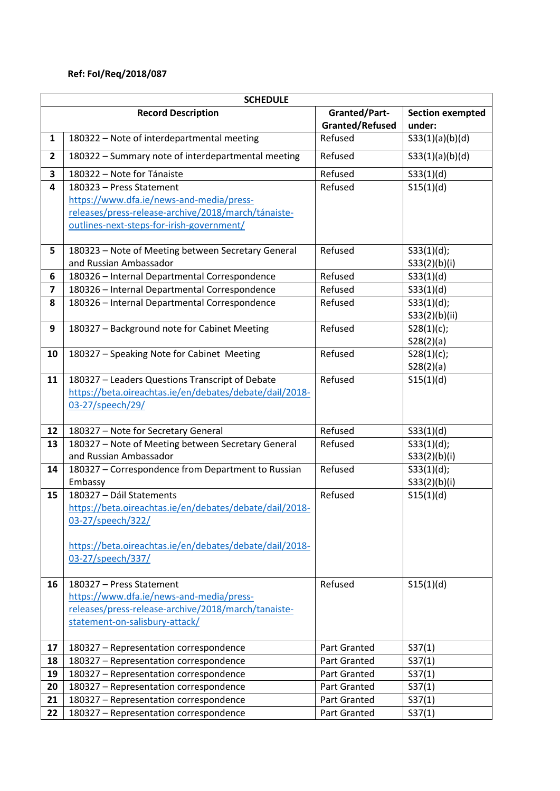## **Ref: FoI/Req/2018/087**

|                         | <b>SCHEDULE</b>                                                                  |                                            |                         |  |  |
|-------------------------|----------------------------------------------------------------------------------|--------------------------------------------|-------------------------|--|--|
|                         | <b>Record Description</b>                                                        | <b>Granted/Part-</b>                       | <b>Section exempted</b> |  |  |
|                         |                                                                                  | <b>Granted/Refused</b>                     | under:                  |  |  |
| $\mathbf{1}$            | 180322 - Note of interdepartmental meeting                                       | Refused                                    | S33(1)(a)(b)(d)         |  |  |
| $\overline{2}$          | 180322 - Summary note of interdepartmental meeting                               | Refused                                    | S33(1)(a)(b)(d)         |  |  |
| 3                       | 180322 - Note for Tánaiste                                                       | Refused                                    | S33(1)(d)               |  |  |
| 4                       | 180323 - Press Statement                                                         | Refused                                    | S15(1)(d)               |  |  |
|                         | https://www.dfa.ie/news-and-media/press-                                         |                                            |                         |  |  |
|                         | releases/press-release-archive/2018/march/tánaiste-                              |                                            |                         |  |  |
|                         | outlines-next-steps-for-irish-government/                                        |                                            |                         |  |  |
| 5                       | 180323 - Note of Meeting between Secretary General                               | Refused                                    | S33(1)(d);              |  |  |
|                         | and Russian Ambassador                                                           |                                            | S33(2)(b)(i)            |  |  |
| 6                       | 180326 - Internal Departmental Correspondence                                    | Refused                                    | S33(1)(d)               |  |  |
| $\overline{\mathbf{z}}$ | 180326 - Internal Departmental Correspondence                                    | Refused                                    | S33(1)(d)               |  |  |
| 8                       | 180326 - Internal Departmental Correspondence                                    | Refused                                    | S33(1)(d);              |  |  |
|                         |                                                                                  |                                            | S33(2)(b)(ii)           |  |  |
| 9                       | 180327 - Background note for Cabinet Meeting                                     | Refused                                    | S28(1)(c);              |  |  |
|                         |                                                                                  |                                            | S28(2)(a)               |  |  |
| 10                      | 180327 - Speaking Note for Cabinet Meeting                                       | Refused                                    | S28(1)(c);              |  |  |
|                         |                                                                                  |                                            | S28(2)(a)               |  |  |
| 11                      | 180327 - Leaders Questions Transcript of Debate                                  | Refused                                    | S15(1)(d)               |  |  |
|                         | https://beta.oireachtas.ie/en/debates/debate/dail/2018-                          |                                            |                         |  |  |
|                         | 03-27/speech/29/                                                                 |                                            |                         |  |  |
| 12                      | 180327 - Note for Secretary General                                              | Refused                                    | S33(1)(d)               |  |  |
| 13                      | 180327 - Note of Meeting between Secretary General                               | Refused                                    | S33(1)(d);              |  |  |
|                         | and Russian Ambassador                                                           |                                            | S33(2)(b)(i)            |  |  |
| 14                      | 180327 - Correspondence from Department to Russian                               | Refused                                    | S33(1)(d);              |  |  |
|                         | Embassy                                                                          |                                            | S33(2)(b)(i)            |  |  |
| 15                      | 180327 - Dáil Statements                                                         | Refused                                    | S15(1)(d)               |  |  |
|                         | https://beta.oireachtas.ie/en/debates/debate/dail/2018-                          |                                            |                         |  |  |
|                         | 03-27/speech/322/                                                                |                                            |                         |  |  |
|                         | https://beta.oireachtas.ie/en/debates/debate/dail/2018-                          |                                            |                         |  |  |
|                         | 03-27/speech/337/                                                                |                                            |                         |  |  |
|                         |                                                                                  |                                            |                         |  |  |
| 16                      | 180327 - Press Statement                                                         | Refused                                    | S15(1)(d)               |  |  |
|                         | https://www.dfa.ie/news-and-media/press-                                         |                                            |                         |  |  |
|                         | releases/press-release-archive/2018/march/tanaiste-                              |                                            |                         |  |  |
|                         | statement-on-salisbury-attack/                                                   |                                            |                         |  |  |
|                         |                                                                                  |                                            |                         |  |  |
| 17                      | 180327 - Representation correspondence                                           | <b>Part Granted</b>                        | S37(1)                  |  |  |
| 18                      | 180327 - Representation correspondence                                           | Part Granted                               | S37(1)                  |  |  |
| 19<br>20                | 180327 - Representation correspondence                                           | Part Granted                               | S37(1)                  |  |  |
| 21                      | 180327 - Representation correspondence<br>180327 - Representation correspondence | <b>Part Granted</b><br><b>Part Granted</b> | S37(1)                  |  |  |
| 22                      | 180327 - Representation correspondence                                           | Part Granted                               | S37(1)<br>S37(1)        |  |  |
|                         |                                                                                  |                                            |                         |  |  |